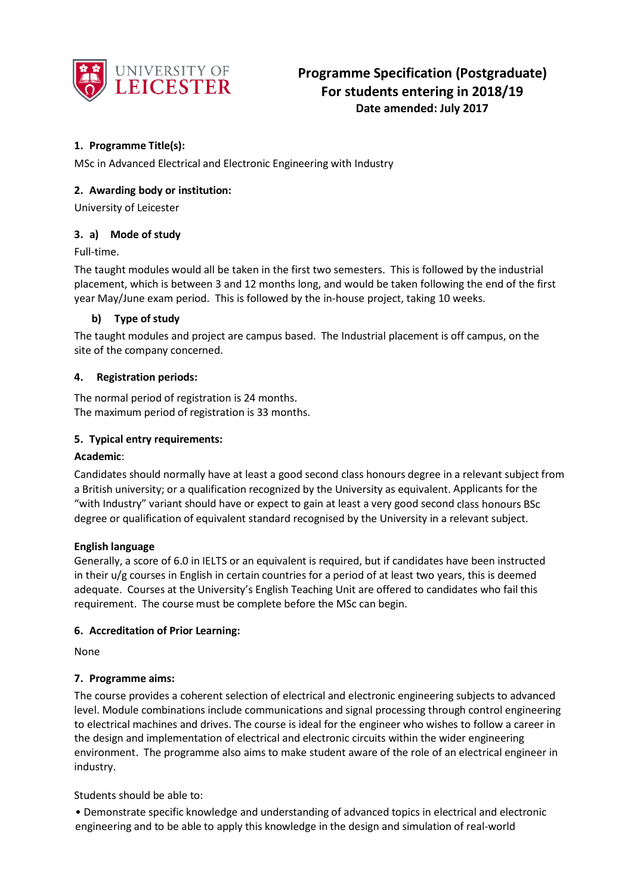

# **1. Programme Title(s):**

MSc in Advanced Electrical and Electronic Engineering with Industry

## **2. Awarding body or institution:**

University of Leicester

## **3. a) Mode of study**

Full-time.

The taught modules would all be taken in the first two semesters. This is followed by the industrial placement, which is between 3 and 12 months long, and would be taken following the end of the first year May/June exam period. This is followed by the in-house project, taking 10 weeks.

## **b) Type of study**

The taught modules and project are campus based. The Industrial placement is off campus, on the site of the company concerned.

## **4. Registration periods:**

The normal period of registration is 24 months. The maximum period of registration is 33 months.

## **5. Typical entry requirements:**

### **Academic**:

Candidates should normally have at least a good second class honours degree in a relevant subject from a British university; or a qualification recognized by the University as equivalent. Applicants for the "with Industry" variant should have or expect to gain at least a very good second class honours BSc degree or qualification of equivalent standard recognised by the University in a relevant subject.

### **English language**

Generally, a score of 6.0 in IELTS or an equivalent is required, but if candidates have been instructed in their u/g courses in English in certain countries for a period of at least two years, this is deemed adequate. Courses at the University's English Teaching Unit are offered to candidates who fail this requirement. The course must be complete before the MSc can begin.

### **6. Accreditation of Prior Learning:**

None

# **7. Programme aims:**

The course provides a coherent selection of electrical and electronic engineering subjects to advanced level. Module combinations include communications and signal processing through control engineering to electrical machines and drives. The course is ideal for the engineer who wishes to follow a career in the design and implementation of electrical and electronic circuits within the wider engineering environment. The programme also aims to make student aware of the role of an electrical engineer in industry.

Students should be able to:

• Demonstrate specific knowledge and understanding of advanced topics in electrical and electronic engineering and to be able to apply this knowledge in the design and simulation of real-world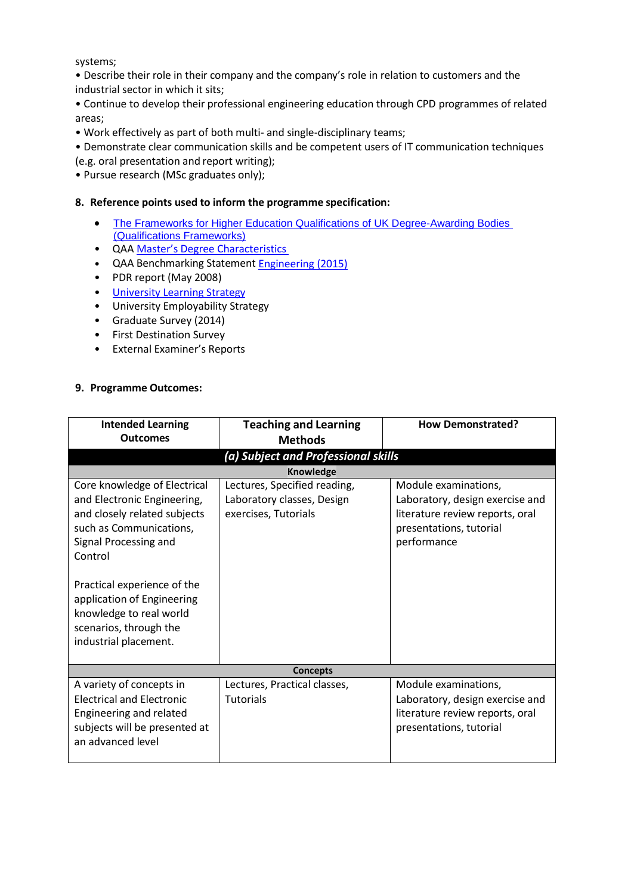systems;

• Describe their role in their company and the company's role in relation to customers and the industrial sector in which it sits;

• Continue to develop their professional engineering education through CPD programmes of related areas;

• Work effectively as part of both multi- and single-disciplinary teams;

• Demonstrate clear communication skills and be competent users of IT communication techniques (e.g. oral presentation and report writing);

• Pursue research (MSc graduates only);

### **8. Reference points used to inform the programme specification:**

- The Frameworks for Higher Education Qualifications of UK Degree-Awarding Bodies [\(Qualifications Frameworks\)](http://www.qaa.ac.uk/publications/information-and-guidance/publication?PubID=2843)
- QAA Master's Degree [Characteristics](http://www.qaa.ac.uk/en/Publications/Documents/Masters-Degree-Characteristics-2010.pdf)
- QAA Benchmarking Statement **Engineering (2015)**
- PDR report (May 2008)
- University [Learning Strategy](http://www2.le.ac.uk/offices/sas2/quality/learnteach)
- University Employability Strategy
- Graduate Survey (2014)
- First Destination Survey
- External Examiner's Reports

#### **9. Programme Outcomes:**

| <b>Intended Learning</b><br><b>Outcomes</b>                                                                                                                                                                                                                                                           | <b>Teaching and Learning</b><br><b>Methods</b>                                     | <b>How Demonstrated?</b>                                                                                                             |  |  |  |  |
|-------------------------------------------------------------------------------------------------------------------------------------------------------------------------------------------------------------------------------------------------------------------------------------------------------|------------------------------------------------------------------------------------|--------------------------------------------------------------------------------------------------------------------------------------|--|--|--|--|
| (a) Subject and Professional skills                                                                                                                                                                                                                                                                   |                                                                                    |                                                                                                                                      |  |  |  |  |
| <b>Knowledge</b>                                                                                                                                                                                                                                                                                      |                                                                                    |                                                                                                                                      |  |  |  |  |
| Core knowledge of Electrical<br>and Electronic Engineering,<br>and closely related subjects<br>such as Communications,<br>Signal Processing and<br>Control<br>Practical experience of the<br>application of Engineering<br>knowledge to real world<br>scenarios, through the<br>industrial placement. | Lectures, Specified reading,<br>Laboratory classes, Design<br>exercises, Tutorials | Module examinations,<br>Laboratory, design exercise and<br>literature review reports, oral<br>presentations, tutorial<br>performance |  |  |  |  |
| <b>Concepts</b>                                                                                                                                                                                                                                                                                       |                                                                                    |                                                                                                                                      |  |  |  |  |
| A variety of concepts in<br><b>Electrical and Electronic</b><br>Engineering and related<br>subjects will be presented at<br>an advanced level                                                                                                                                                         | Lectures, Practical classes,<br><b>Tutorials</b>                                   | Module examinations,<br>Laboratory, design exercise and<br>literature review reports, oral<br>presentations, tutorial                |  |  |  |  |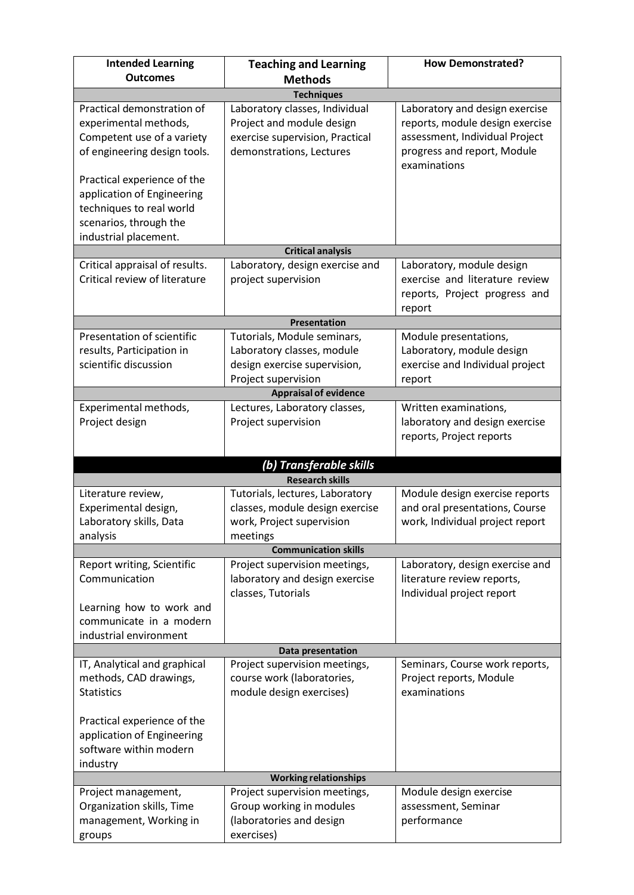| <b>Intended Learning</b>                                                                                                                 | <b>Teaching and Learning</b>                                                                                               | <b>How Demonstrated?</b>                                                                                                                           |  |  |  |  |
|------------------------------------------------------------------------------------------------------------------------------------------|----------------------------------------------------------------------------------------------------------------------------|----------------------------------------------------------------------------------------------------------------------------------------------------|--|--|--|--|
| <b>Outcomes</b>                                                                                                                          | <b>Methods</b>                                                                                                             |                                                                                                                                                    |  |  |  |  |
|                                                                                                                                          | <b>Techniques</b>                                                                                                          |                                                                                                                                                    |  |  |  |  |
| Practical demonstration of<br>experimental methods,<br>Competent use of a variety<br>of engineering design tools.                        | Laboratory classes, Individual<br>Project and module design<br>exercise supervision, Practical<br>demonstrations, Lectures | Laboratory and design exercise<br>reports, module design exercise<br>assessment, Individual Project<br>progress and report, Module<br>examinations |  |  |  |  |
| Practical experience of the<br>application of Engineering<br>techniques to real world<br>scenarios, through the<br>industrial placement. |                                                                                                                            |                                                                                                                                                    |  |  |  |  |
|                                                                                                                                          | <b>Critical analysis</b>                                                                                                   |                                                                                                                                                    |  |  |  |  |
| Critical appraisal of results.<br>Critical review of literature                                                                          | Laboratory, design exercise and<br>project supervision                                                                     | Laboratory, module design<br>exercise and literature review<br>reports, Project progress and<br>report                                             |  |  |  |  |
|                                                                                                                                          | Presentation                                                                                                               |                                                                                                                                                    |  |  |  |  |
| Presentation of scientific<br>results, Participation in<br>scientific discussion                                                         | Tutorials, Module seminars,<br>Laboratory classes, module<br>design exercise supervision,<br>Project supervision           | Module presentations,<br>Laboratory, module design<br>exercise and Individual project<br>report                                                    |  |  |  |  |
|                                                                                                                                          | <b>Appraisal of evidence</b>                                                                                               |                                                                                                                                                    |  |  |  |  |
| Experimental methods,<br>Project design                                                                                                  | Lectures, Laboratory classes,<br>Project supervision                                                                       | Written examinations,<br>laboratory and design exercise<br>reports, Project reports                                                                |  |  |  |  |
|                                                                                                                                          | (b) Transferable skills                                                                                                    |                                                                                                                                                    |  |  |  |  |
|                                                                                                                                          | <b>Research skills</b>                                                                                                     |                                                                                                                                                    |  |  |  |  |
| Literature review,<br>Experimental design,<br>Laboratory skills, Data<br>analysis                                                        | Tutorials, lectures, Laboratory<br>classes, module design exercise<br>work, Project supervision<br>meetings                | Module design exercise reports<br>and oral presentations, Course<br>work, Individual project report                                                |  |  |  |  |
|                                                                                                                                          | <b>Communication skills</b>                                                                                                |                                                                                                                                                    |  |  |  |  |
| Report writing, Scientific<br>Communication<br>Learning how to work and<br>communicate in a modern                                       | Project supervision meetings,<br>laboratory and design exercise<br>classes, Tutorials                                      | Laboratory, design exercise and<br>literature review reports,<br>Individual project report                                                         |  |  |  |  |
| industrial environment                                                                                                                   |                                                                                                                            |                                                                                                                                                    |  |  |  |  |
|                                                                                                                                          | Data presentation                                                                                                          |                                                                                                                                                    |  |  |  |  |
| IT, Analytical and graphical<br>methods, CAD drawings,<br><b>Statistics</b>                                                              | Project supervision meetings,<br>course work (laboratories,<br>module design exercises)                                    | Seminars, Course work reports,<br>Project reports, Module<br>examinations                                                                          |  |  |  |  |
| Practical experience of the<br>application of Engineering<br>software within modern<br>industry                                          |                                                                                                                            |                                                                                                                                                    |  |  |  |  |
| <b>Working relationships</b>                                                                                                             |                                                                                                                            |                                                                                                                                                    |  |  |  |  |
| Project management,<br>Organization skills, Time<br>management, Working in<br>groups                                                     | Project supervision meetings,<br>Group working in modules<br>(laboratories and design<br>exercises)                        | Module design exercise<br>assessment, Seminar<br>performance                                                                                       |  |  |  |  |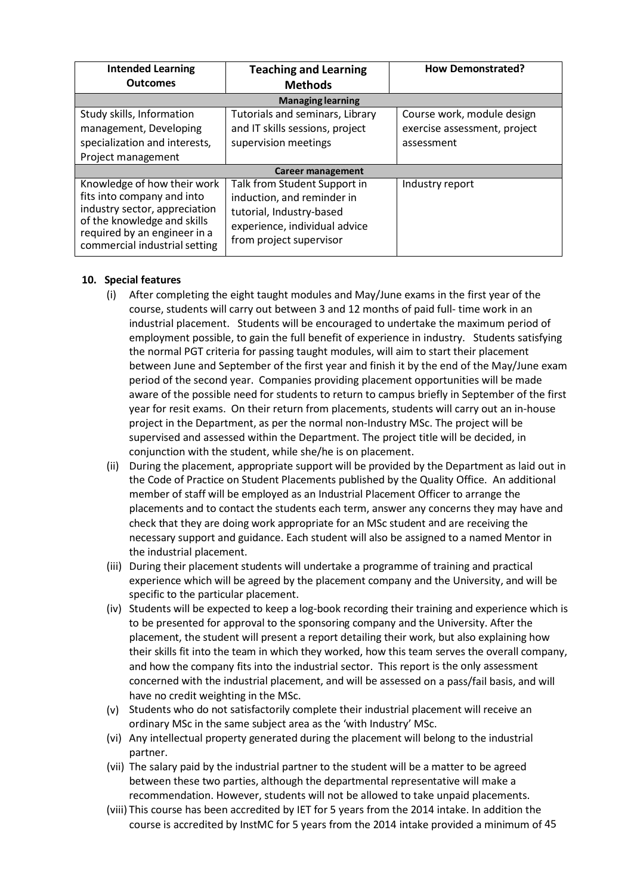| <b>Intended Learning</b><br><b>Outcomes</b>                                                                                                                                                | <b>Teaching and Learning</b><br><b>Methods</b>                                                                                                     | <b>How Demonstrated?</b>                                                 |  |  |  |
|--------------------------------------------------------------------------------------------------------------------------------------------------------------------------------------------|----------------------------------------------------------------------------------------------------------------------------------------------------|--------------------------------------------------------------------------|--|--|--|
| <b>Managing learning</b>                                                                                                                                                                   |                                                                                                                                                    |                                                                          |  |  |  |
| Study skills, Information<br>management, Developing<br>specialization and interests,<br>Project management                                                                                 | Tutorials and seminars, Library<br>and IT skills sessions, project<br>supervision meetings                                                         | Course work, module design<br>exercise assessment, project<br>assessment |  |  |  |
| <b>Career management</b>                                                                                                                                                                   |                                                                                                                                                    |                                                                          |  |  |  |
| Knowledge of how their work<br>fits into company and into<br>industry sector, appreciation<br>of the knowledge and skills<br>required by an engineer in a<br>commercial industrial setting | Talk from Student Support in<br>induction, and reminder in<br>tutorial, Industry-based<br>experience, individual advice<br>from project supervisor | Industry report                                                          |  |  |  |

## **10. Special features**

- (i) After completing the eight taught modules and May/June exams in the first year of the course, students will carry out between 3 and 12 months of paid full- time work in an industrial placement. Students will be encouraged to undertake the maximum period of employment possible, to gain the full benefit of experience in industry. Students satisfying the normal PGT criteria for passing taught modules, will aim to start their placement between June and September of the first year and finish it by the end of the May/June exam period of the second year. Companies providing placement opportunities will be made aware of the possible need for students to return to campus briefly in September of the first year for resit exams. On their return from placements, students will carry out an in-house project in the Department, as per the normal non-Industry MSc. The project will be supervised and assessed within the Department. The project title will be decided, in conjunction with the student, while she/he is on placement.
- (ii) During the placement, appropriate support will be provided by the Department as laid out in the Code of Practice on Student Placements published by the Quality Office. An additional member of staff will be employed as an Industrial Placement Officer to arrange the placements and to contact the students each term, answer any concerns they may have and check that they are doing work appropriate for an MSc student and are receiving the necessary support and guidance. Each student will also be assigned to a named Mentor in the industrial placement.
- (iii) During their placement students will undertake a programme of training and practical experience which will be agreed by the placement company and the University, and will be specific to the particular placement.
- (iv) Students will be expected to keep a log-book recording their training and experience which is to be presented for approval to the sponsoring company and the University. After the placement, the student will present a report detailing their work, but also explaining how their skills fit into the team in which they worked, how this team serves the overall company, and how the company fits into the industrial sector. This report is the only assessment concerned with the industrial placement, and will be assessed on a pass/fail basis, and will have no credit weighting in the MSc.
- (v) Students who do not satisfactorily complete their industrial placement will receive an ordinary MSc in the same subject area as the 'with Industry' MSc.
- (vi) Any intellectual property generated during the placement will belong to the industrial partner.
- (vii) The salary paid by the industrial partner to the student will be a matter to be agreed between these two parties, although the departmental representative will make a recommendation. However, students will not be allowed to take unpaid placements.
- (viii) This course has been accredited by IET for 5 years from the 2014 intake. In addition the course is accredited by InstMC for 5 years from the 2014 intake provided a minimum of 45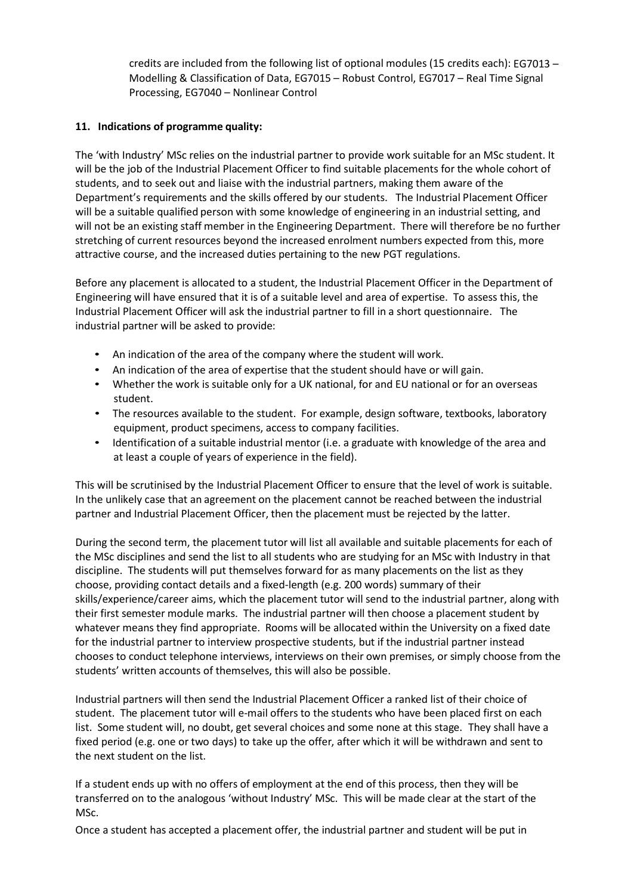credits are included from the following list of optional modules (15 credits each): EG7013 – Modelling & Classification of Data, EG7015 – Robust Control, EG7017 – Real Time Signal Processing, EG7040 – Nonlinear Control

# **11. Indications of programme quality:**

The 'with Industry' MSc relies on the industrial partner to provide work suitable for an MSc student. It will be the job of the Industrial Placement Officer to find suitable placements for the whole cohort of students, and to seek out and liaise with the industrial partners, making them aware of the Department's requirements and the skills offered by our students. The Industrial Placement Officer will be a suitable qualified person with some knowledge of engineering in an industrial setting, and will not be an existing staff member in the Engineering Department. There will therefore be no further stretching of current resources beyond the increased enrolment numbers expected from this, more attractive course, and the increased duties pertaining to the new PGT regulations.

Before any placement is allocated to a student, the Industrial Placement Officer in the Department of Engineering will have ensured that it is of a suitable level and area of expertise. To assess this, the Industrial Placement Officer will ask the industrial partner to fill in a short questionnaire. The industrial partner will be asked to provide:

- An indication of the area of the company where the student will work.
- An indication of the area of expertise that the student should have or will gain.
- Whether the work is suitable only for a UK national, for and EU national or for an overseas student.
- The resources available to the student. For example, design software, textbooks, laboratory equipment, product specimens, access to company facilities.
- Identification of a suitable industrial mentor (i.e. a graduate with knowledge of the area and at least a couple of years of experience in the field).

This will be scrutinised by the Industrial Placement Officer to ensure that the level of work is suitable. In the unlikely case that an agreement on the placement cannot be reached between the industrial partner and Industrial Placement Officer, then the placement must be rejected by the latter.

During the second term, the placement tutor will list all available and suitable placements for each of the MSc disciplines and send the list to all students who are studying for an MSc with Industry in that discipline. The students will put themselves forward for as many placements on the list as they choose, providing contact details and a fixed-length (e.g. 200 words) summary of their skills/experience/career aims, which the placement tutor will send to the industrial partner, along with their first semester module marks. The industrial partner will then choose a placement student by whatever means they find appropriate. Rooms will be allocated within the University on a fixed date for the industrial partner to interview prospective students, but if the industrial partner instead chooses to conduct telephone interviews, interviews on their own premises, or simply choose from the students' written accounts of themselves, this will also be possible.

Industrial partners will then send the Industrial Placement Officer a ranked list of their choice of student. The placement tutor will e-mail offers to the students who have been placed first on each list. Some student will, no doubt, get several choices and some none at this stage. They shall have a fixed period (e.g. one or two days) to take up the offer, after which it will be withdrawn and sent to the next student on the list.

If a student ends up with no offers of employment at the end of this process, then they will be transferred on to the analogous 'without Industry' MSc. This will be made clear at the start of the MSc.

Once a student has accepted a placement offer, the industrial partner and student will be put in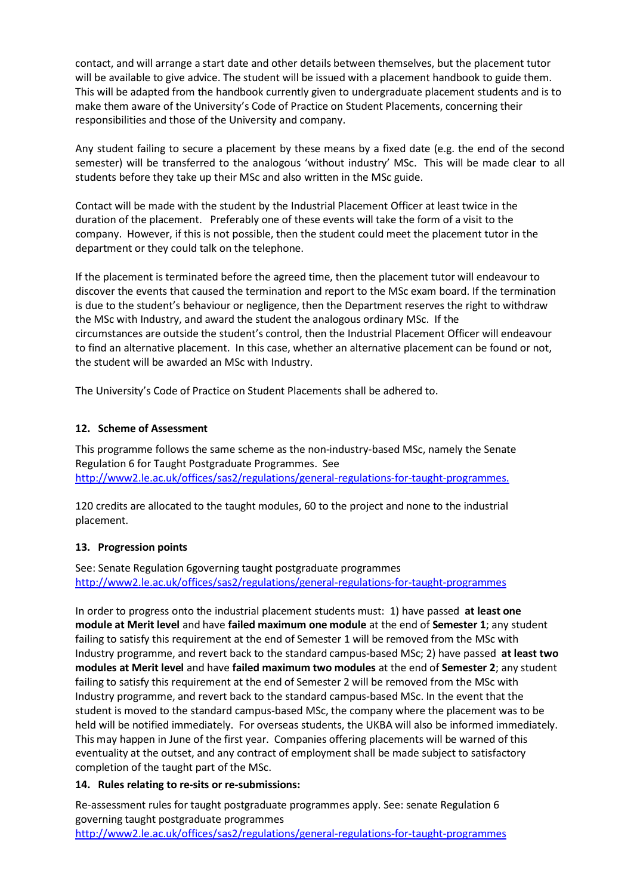contact, and will arrange a start date and other details between themselves, but the placement tutor will be available to give advice. The student will be issued with a placement handbook to guide them. This will be adapted from the handbook currently given to undergraduate placement students and is to make them aware of the University's Code of Practice on Student Placements, concerning their responsibilities and those of the University and company.

Any student failing to secure a placement by these means by a fixed date (e.g. the end of the second semester) will be transferred to the analogous 'without industry' MSc. This will be made clear to all students before they take up their MSc and also written in the MSc guide.

Contact will be made with the student by the Industrial Placement Officer at least twice in the duration of the placement. Preferably one of these events will take the form of a visit to the company. However, if this is not possible, then the student could meet the placement tutor in the department or they could talk on the telephone.

If the placement is terminated before the agreed time, then the placement tutor will endeavour to discover the events that caused the termination and report to the MSc exam board. If the termination is due to the student's behaviour or negligence, then the Department reserves the right to withdraw the MSc with Industry, and award the student the analogous ordinary MSc. If the circumstances are outside the student's control, then the Industrial Placement Officer will endeavour to find an alternative placement. In this case, whether an alternative placement can be found or not, the student will be awarded an MSc with Industry.

The University's Code of Practice on Student Placements shall be adhered to.

# **12. Scheme of Assessment**

This programme follows the same scheme as the non-industry-based MSc, namely the Senate Regulation 6 for Taught Postgraduate Programmes. See [http://www2.le.ac.uk/offices/sas2/regulations/general-regulations-for-taught-programmes.](http://www2.le.ac.uk/offices/sas2/regulations/general-regulations-for-taught-programmes)

120 credits are allocated to the taught modules, 60 to the project and none to the industrial placement.

# **13. Progression points**

See: Senate Regulation 6governing taught postgraduate programmes <http://www2.le.ac.uk/offices/sas2/regulations/general-regulations-for-taught-programmes>

In order to progress onto the industrial placement students must: 1) have passed **at least one module at Merit level** and have **failed maximum one module** at the end of **Semester 1**; any student failing to satisfy this requirement at the end of Semester 1 will be removed from the MSc with Industry programme, and revert back to the standard campus-based MSc; 2) have passed **at least two modules at Merit level** and have **failed maximum two modules** at the end of **Semester 2**; any student failing to satisfy this requirement at the end of Semester 2 will be removed from the MSc with Industry programme, and revert back to the standard campus-based MSc. In the event that the student is moved to the standard campus-based MSc, the company where the placement was to be held will be notified immediately. For overseas students, the UKBA will also be informed immediately. This may happen in June of the first year. Companies offering placements will be warned of this eventuality at the outset, and any contract of employment shall be made subject to satisfactory completion of the taught part of the MSc.

# **14. Rules relating to re-sits or re-submissions:**

Re-assessment rules for taught postgraduate programmes apply. See: senate Regulation 6 governing taught postgraduate programmes

<http://www2.le.ac.uk/offices/sas2/regulations/general-regulations-for-taught-programmes>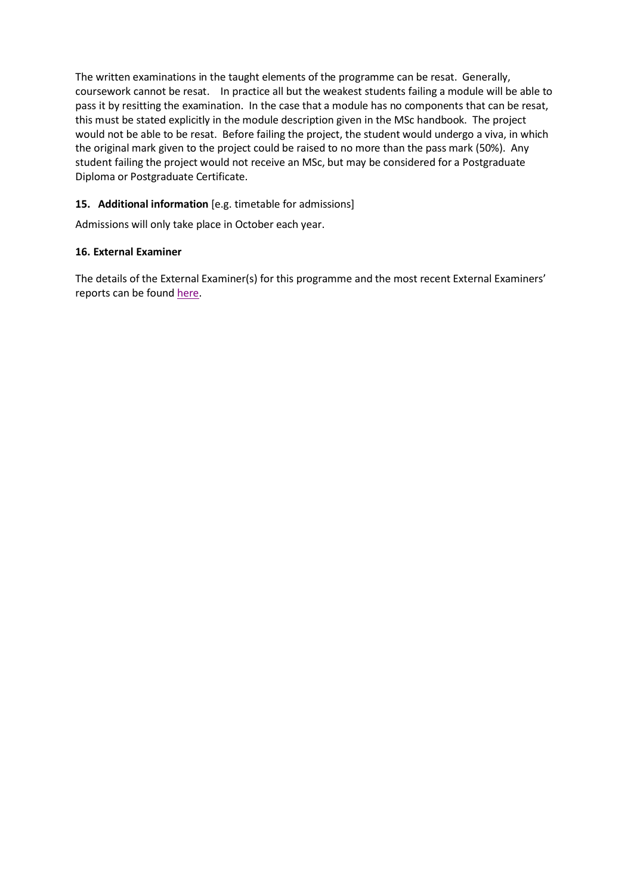The written examinations in the taught elements of the programme can be resat. Generally, coursework cannot be resat. In practice all but the weakest students failing a module will be able to pass it by resitting the examination. In the case that a module has no components that can be resat, this must be stated explicitly in the module description given in the MSc handbook. The project would not be able to be resat. Before failing the project, the student would undergo a viva, in which the original mark given to the project could be raised to no more than the pass mark (50%). Any student failing the project would not receive an MSc, but may be considered for a Postgraduate Diploma or Postgraduate Certificate.

# **15. Additional information** [e.g. timetable for admissions]

Admissions will only take place in October each year.

## **16. External Examiner**

The details of the External Examiner(s) for this programme and the most recent External Examiners' reports can be found [here.](https://exampapers.le.ac.uk/xmlui/handle/123456789/214)